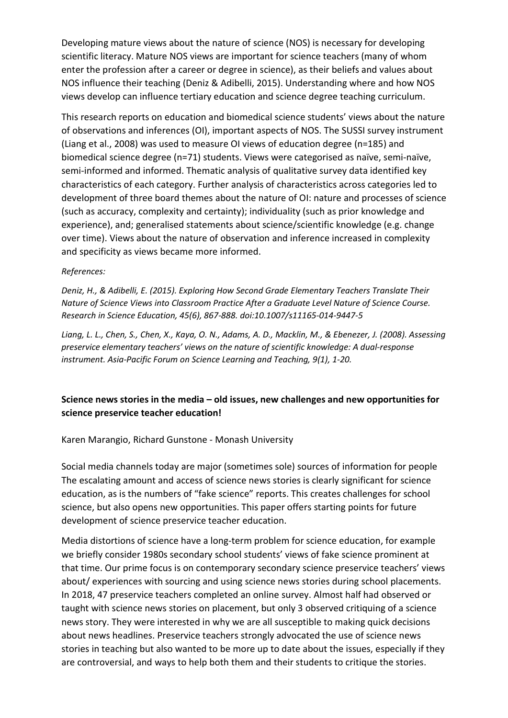Developing mature views about the nature of science (NOS) is necessary for developing scientific literacy. Mature NOS views are important for science teachers (many of whom enter the profession after a career or degree in science), as their beliefs and values about NOS influence their teaching (Deniz & Adibelli, 2015). Understanding where and how NOS views develop can influence tertiary education and science degree teaching curriculum.

This research reports on education and biomedical science students' views about the nature of observations and inferences (OI), important aspects of NOS. The SUSSI survey instrument (Liang et al., 2008) was used to measure OI views of education degree (n=185) and biomedical science degree (n=71) students. Views were categorised as naïve, semi-naïve, semi-informed and informed. Thematic analysis of qualitative survey data identified key characteristics of each category. Further analysis of characteristics across categories led to development of three board themes about the nature of OI: nature and processes of science (such as accuracy, complexity and certainty); individuality (such as prior knowledge and experience), and; generalised statements about science/scientific knowledge (e.g. change over time). Views about the nature of observation and inference increased in complexity and specificity as views became more informed.

## References:

Deniz, H., & Adibelli, E. (2015). Exploring How Second Grade Elementary Teachers Translate Their Nature of Science Views into Classroom Practice After a Graduate Level Nature of Science Course. Research in Science Education, 45(6), 867-888. doi:10.1007/s11165-014-9447-5

Liang, L. L., Chen, S., Chen, X., Kaya, O. N., Adams, A. D., Macklin, M., & Ebenezer, J. (2008). Assessing preservice elementary teachers' views on the nature of scientific knowledge: A dual-response instrument. Asia-Pacific Forum on Science Learning and Teaching, 9(1), 1-20.

# Science news stories in the media – old issues, new challenges and new opportunities for science preservice teacher education!

Karen Marangio, Richard Gunstone - Monash University

Social media channels today are major (sometimes sole) sources of information for people The escalating amount and access of science news stories is clearly significant for science education, as is the numbers of "fake science" reports. This creates challenges for school science, but also opens new opportunities. This paper offers starting points for future development of science preservice teacher education.

Media distortions of science have a long-term problem for science education, for example we briefly consider 1980s secondary school students' views of fake science prominent at that time. Our prime focus is on contemporary secondary science preservice teachers' views about/ experiences with sourcing and using science news stories during school placements. In 2018, 47 preservice teachers completed an online survey. Almost half had observed or taught with science news stories on placement, but only 3 observed critiquing of a science news story. They were interested in why we are all susceptible to making quick decisions about news headlines. Preservice teachers strongly advocated the use of science news stories in teaching but also wanted to be more up to date about the issues, especially if they are controversial, and ways to help both them and their students to critique the stories.